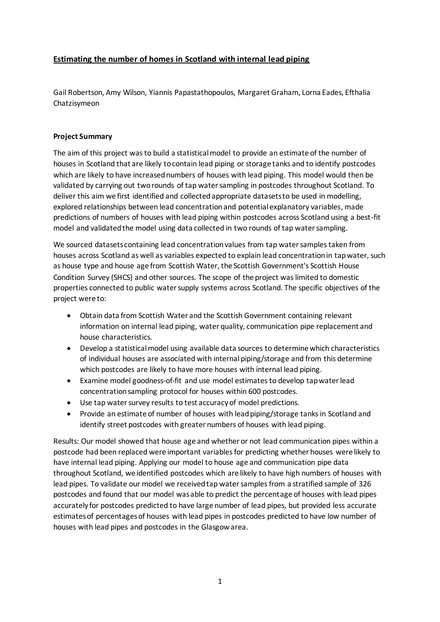## **Estimating the number of homes in Scotland with internal lead piping**

Gail Robertson, Amy Wilson, Yiannis Papastathopoulos, Margaret Graham, Lorna Eades, Efthalia Chatzisymeon

## **Project Summary**

The aim of this project was to build a statistical model to provide an estimate of the number of houses in Scotland that are likely to contain lead piping or storage tanks and to identify postcodes which are likely to have increased numbers of houses with lead piping. This model would then be validated by carrying out two rounds of tap water sampling in postcodes throughout Scotland. To deliver this aim we first identified and collected appropriate datasets to be used in modelling, explored relationships between lead concentration and potential explanatory variables, made predictions of numbers of houses with lead piping within postcodes across Scotland using a best-fit model and validated the model using data collected in two rounds of tap water sampling.

We sourced datasets containing lead concentration values from tap water samples taken from houses across Scotland as well as variables expected to explain lead concentration in tap water, such as house type and house age from Scottish Water, the Scottish Government's Scottish House Condition Survey (SHCS) and other sources. The scope of the project was limited to domestic properties connected to public water supply systems across Scotland. The specific objectives of the project were to:

- Obtain data from Scottish Water and the Scottish Government containing relevant information on internal lead piping, water quality, communication pipe replacement and house characteristics.
- Develop a statistical model using available data sources to determine which characteristics of individual houses are associated with internal piping/storage and from this determine which postcodes are likely to have more houses with internal lead piping.
- Examine model goodness-of-fit and use model estimates to develop tap water lead concentration sampling protocol for houses within 600 postcodes.
- Use tap water survey results to test accuracy of model predictions.
- Provide an estimate of number of houses with lead piping/storage tanks in Scotland and identify street postcodes with greater numbers of houses with lead piping.

Results: Our model showed that house age and whether or not lead communication pipes within a postcode had been replaced were important variables for predicting whether houses were likely to have internal lead piping. Applying our model to house age and communication pipe data throughout Scotland, we identified postcodes which are likely to have high numbers of houses with lead pipes. To validate our model we received tap water samples from a stratified sample of 326 postcodes and found that our model was able to predict the percentage of houses with lead pipes accurately for postcodes predicted to have large number of lead pipes, but provided less accurate estimates of percentages of houses with lead pipes in postcodes predicted to have low number of houses with lead pipes and postcodes in the Glasgow area.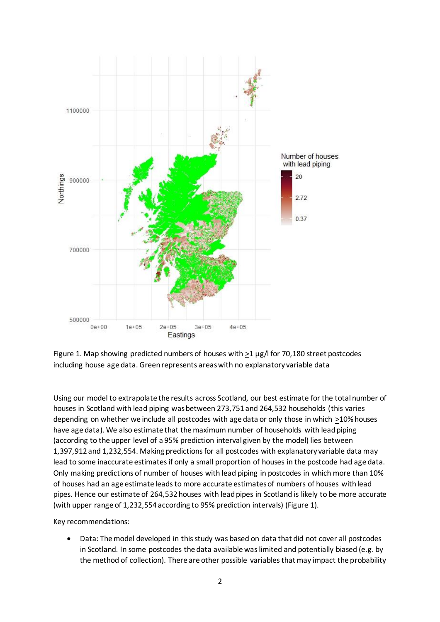

Figure 1. Map showing predicted numbers of houses with >1 µg/l for 70,180 street postcodes including house age data. Green represents areas with no explanatory variable data

Using our model to extrapolate the results across Scotland, our best estimate for the total number of houses in Scotland with lead piping was between 273,751 and 264,532 households (this varies depending on whether we include all postcodes with age data or only those in which >10% houses have age data). We also estimate that the maximum number of households with lead piping (according to the upper level of a 95% prediction interval given by the model) lies between 1,397,912 and 1,232,554. Making predictions for all postcodes with explanatory variable data may lead to some inaccurate estimates if only a small proportion of houses in the postcode had age data. Only making predictions of number of houses with lead piping in postcodes in which more than 10% of houses had an age estimate leads to more accurate estimates of numbers of houses with lead pipes. Hence our estimate of 264,532 houses with lead pipes in Scotland is likely to be more accurate (with upper range of 1,232,554 according to 95% prediction intervals) (Figure 1).

Key recommendations:

 Data: The model developed in this study was based on data that did not cover all postcodes in Scotland. In some postcodes the data available was limited and potentially biased (e.g. by the method of collection). There are other possible variables that may impact the probability